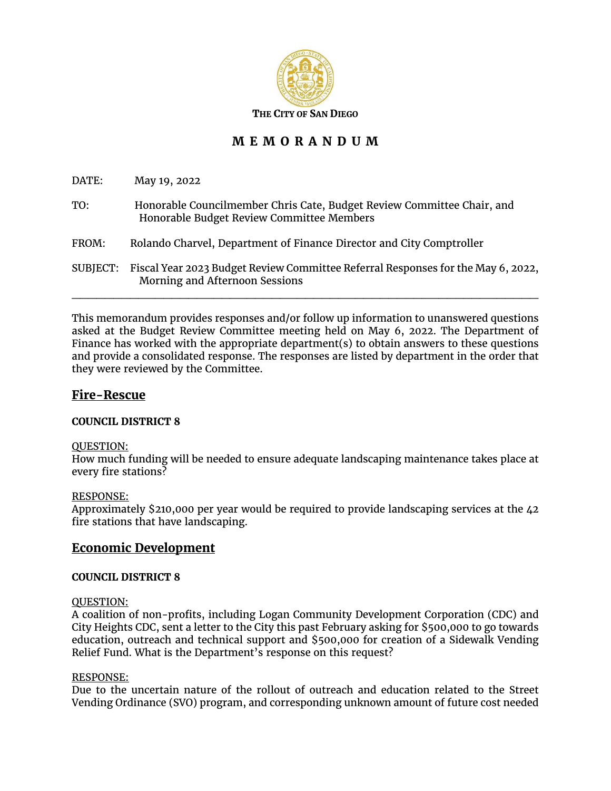

# **M E M O R A N D U M**

DATE: May 19, 2022

| TO: | Honorable Councilmember Chris Cate, Budget Review Committee Chair, and |
|-----|------------------------------------------------------------------------|
|     | Honorable Budget Review Committee Members                              |

FROM: Rolando Charvel, Department of Finance Director and City Comptroller

| SUBJECT: Fiscal Year 2023 Budget Review Committee Referral Responses for the May 6, 2022, |
|-------------------------------------------------------------------------------------------|
| Morning and Afternoon Sessions                                                            |

 $\mathcal{L}_\mathcal{L}$  , and the contribution of the contribution of the contribution of the contribution of the contribution of the contribution of the contribution of the contribution of the contribution of the contribution of

This memorandum provides responses and/or follow up information to unanswered questions asked at the Budget Review Committee meeting held on May 6, 2022. The Department of Finance has worked with the appropriate department(s) to obtain answers to these questions and provide a consolidated response. The responses are listed by department in the order that they were reviewed by the Committee.

# **Fire-Rescue**

### **COUNCIL DISTRICT 8**

#### QUESTION:

How much funding will be needed to ensure adequate landscaping maintenance takes place at every fire stations?

#### RESPONSE:

Approximately \$210,000 per year would be required to provide landscaping services at the 42 fire stations that have landscaping.

# **Economic Development**

### **COUNCIL DISTRICT 8**

#### QUESTION:

A coalition of non-profits, including Logan Community Development Corporation (CDC) and City Heights CDC, sent a letter to the City this past February asking for \$500,000 to go towards education, outreach and technical support and \$500,000 for creation of a Sidewalk Vending Relief Fund. What is the Department's response on this request?

#### RESPONSE:

Due to the uncertain nature of the rollout of outreach and education related to the Street Vending Ordinance (SVO) program, and corresponding unknown amount of future cost needed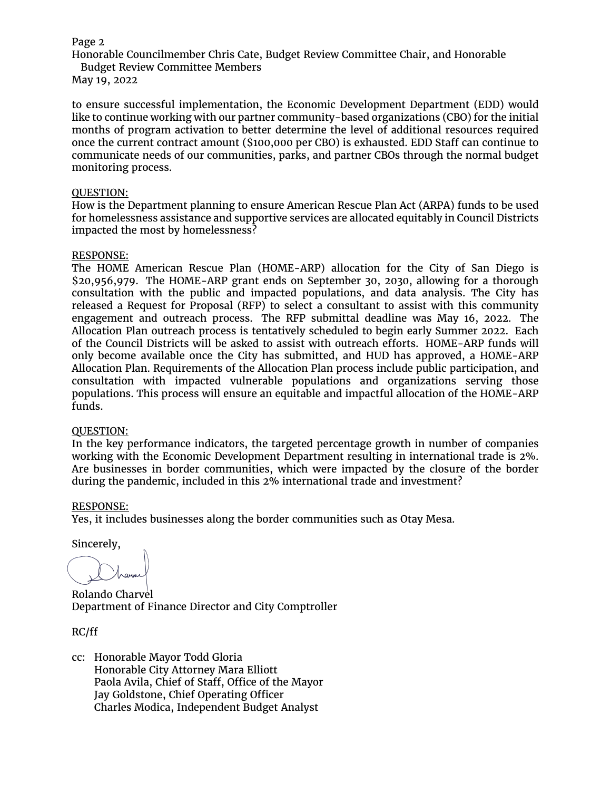#### Page 2

Honorable Councilmember Chris Cate, Budget Review Committee Chair, and Honorable Budget Review Committee Members

May 19, 2022

to ensure successful implementation, the Economic Development Department (EDD) would like to continue working with our partner community-based organizations (CBO) for the initial months of program activation to better determine the level of additional resources required once the current contract amount (\$100,000 per CBO) is exhausted. EDD Staff can continue to communicate needs of our communities, parks, and partner CBOs through the normal budget monitoring process.

#### QUESTION:

How is the Department planning to ensure American Rescue Plan Act (ARPA) funds to be used for homelessness assistance and supportive services are allocated equitably in Council Districts impacted the most by homelessness?

#### RESPONSE:

The HOME American Rescue Plan (HOME-ARP) allocation for the City of San Diego is \$20,956,979. The HOME-ARP grant ends on September 30, 2030, allowing for a thorough consultation with the public and impacted populations, and data analysis. The City has released a Request for Proposal (RFP) to select a consultant to assist with this community engagement and outreach process. The RFP submittal deadline was May 16, 2022. The Allocation Plan outreach process is tentatively scheduled to begin early Summer 2022. Each of the Council Districts will be asked to assist with outreach efforts. HOME-ARP funds will only become available once the City has submitted, and HUD has approved, a HOME-ARP Allocation Plan. Requirements of the Allocation Plan process include public participation, and consultation with impacted vulnerable populations and organizations serving those populations. This process will ensure an equitable and impactful allocation of the HOME-ARP funds.

#### QUESTION:

In the key performance indicators, the targeted percentage growth in number of companies working with the Economic Development Department resulting in international trade is 2%. Are businesses in border communities, which were impacted by the closure of the border during the pandemic, included in this 2% international trade and investment?

#### RESPONSE:

Yes, it includes businesses along the border communities such as Otay Mesa.

Sincerely,

Rolando Charvel Department of Finance Director and City Comptroller

RC/ff

cc: Honorable Mayor Todd Gloria Honorable City Attorney Mara Elliott Paola Avila, Chief of Staff, Office of the Mayor Jay Goldstone, Chief Operating Officer Charles Modica, Independent Budget Analyst